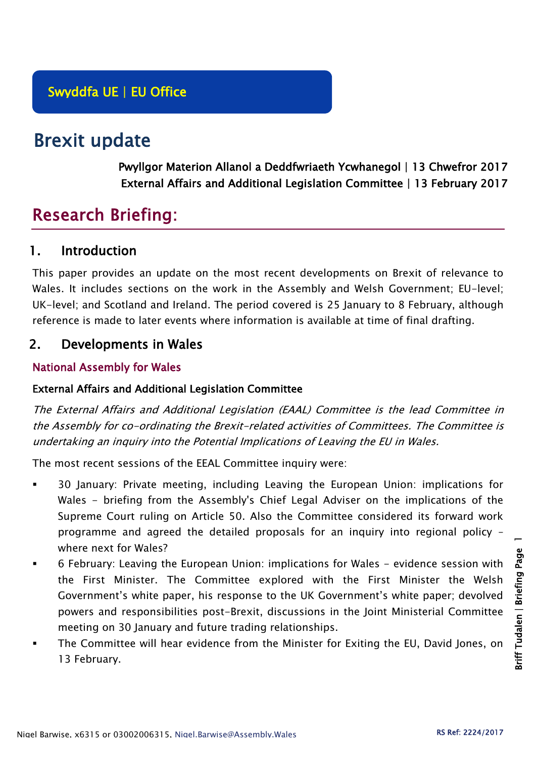# Brexit update

Pwyllgor Materion Allanol a Deddfwriaeth Ycwhanegol | 13 Chwefror 2017 External Affairs and Additional Legislation Committee | 13 February 2017

## Research Briefing:

## 1. Introduction

This paper provides an update on the most recent developments on Brexit of relevance to Wales. It includes sections on the work in the Assembly and Welsh Government; EU-level; UK-level; and Scotland and Ireland. The period covered is 25 January to 8 February, although reference is made to later events where information is available at time of final drafting.

## 2. Developments in Wales

#### National Assembly for Wales

#### External Affairs and Additional Legislation Committee

The External Affairs and Additional Legislation (EAAL) Committee is the lead Committee in the Assembly for co-ordinating the Brexit-related activities of Committees. The Committee is undertaking an inquiry into the Potential Implications of Leaving the EU in Wales.

The most recent sessions of the EEAL Committee inquiry were:

- 30 January: Private meeting, including Leaving the European Union: implications for Wales - briefing from the Assembly's Chief Legal Adviser on the implications of the Supreme Court ruling on Article 50. Also the Committee considered its forward work programme and agreed the detailed proposals for an inquiry into regional policy – where next for Wales?
- 6 February: Leaving the European Union: implications for Wales evidence session with the First Minister. The Committee explored with the First Minister the Welsh Government's white paper, his response to the UK Government's white paper; devolved powers and responsibilities post-Brexit, discussions in the Joint Ministerial Committee meeting on 30 January and future trading relationships.
- The Committee will hear evidence from the Minister for Exiting the EU, David Jones, on 13 February.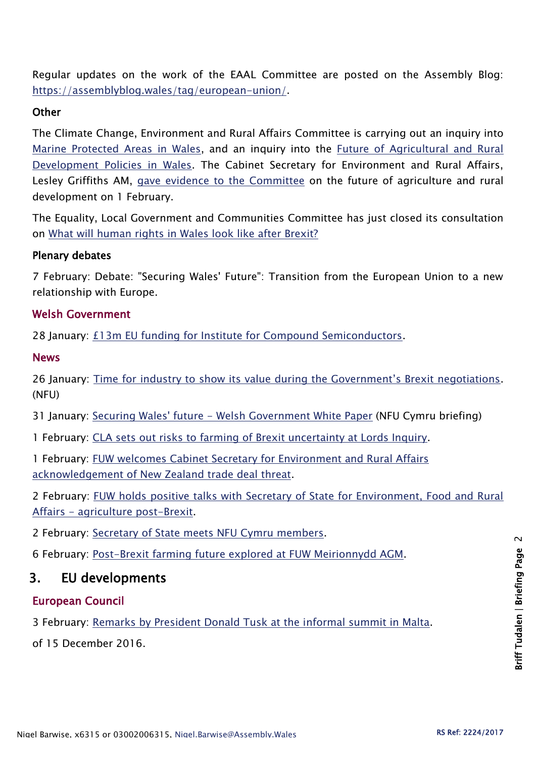Regular updates on the work of the EAAL Committee are posted on the Assembly Blog: [https://assemblyblog.wales/tag/european-union/.](https://assemblyblog.wales/tag/european-union/)

#### **Other**

The Climate Change, Environment and Rural Affairs Committee is carrying out an inquiry into [Marine Protected Areas in Wales,](http://senedd.assembly.wales/mgIssueHistoryHome.aspx?IId=16663) and an inquiry into the [Future of Agricultural and Rural](http://senedd.assembly.wales/mgIssueHistoryHome.aspx?IId=15876)  [Development Policies in Wales.](http://senedd.assembly.wales/mgIssueHistoryHome.aspx?IId=15876) The Cabinet Secretary for Environment and Rural Affairs, Lesley Griffiths AM, [gave evidence to the Committee](http://www.senedd.tv/Meeting/Archive/067d8594-6fa5-429f-9f52-ac7ef3b995ed?autostart=True) on the future of agriculture and rural development on 1 February.

The Equality, Local Government and Communities Committee has just closed its consultation on What will human [rights in Wales look like after Brexit?](http://senedd.assembly.wales/mgConsultationDisplay.aspx?id=244&RPID=1008299204&cp=yes)

#### Plenary debates

7 February: Debate: "Securing Wales' Future": Transition from the European Union to a new relationship with Europe.

#### Welsh Government

28 January: [£13m EU funding for Institute for Compound Semiconductors.](http://gov.wales/newsroom/finance1/2017/58878401/?lang=en)

#### News

26 January: Time for [industry to show its value during the Government's Brexit negotiations](https://www.nfu-cymru.org.uk/news/latest-news/time-for-industry-to-show-its-value/). (NFU)

31 January: Securing Wales' future - [Welsh Government White Paper](https://www.nfu-cymru.org.uk/news/latest-news/securing-wales-future-welsh-government-white-pa/) (NFU Cymru briefing)

1 February: [CLA sets out risks to farming of Brexit uncertainty at Lords Inquiry.](http://www.cla.org.uk/latest/news/all-news/cla-sets-out-risks-farming-brexit-uncertainty-lords-inquiry)

1 February: [FUW welcomes Cabinet Secretary for Environment and Rural Affairs](http://fuw.org.uk/fuw-welcomes-cabinet-secretary-for-environment-and-rural-affairs-acknowledgement-of-new-zealand-trade-deal-threat/)  [acknowledgement of New Zealand trade deal threat.](http://fuw.org.uk/fuw-welcomes-cabinet-secretary-for-environment-and-rural-affairs-acknowledgement-of-new-zealand-trade-deal-threat/)

2 February: [FUW holds positive talks with Secretary of State for Environment, Food and Rural](http://fuw.org.uk/fuw-holds-positive-talks-with-secretary-of-state-for-environment-food-and-rural-affairs/)  Affairs - [agriculture post-Brexit.](http://fuw.org.uk/fuw-holds-positive-talks-with-secretary-of-state-for-environment-food-and-rural-affairs/)

2 February: [Secretary of State meets NFU Cymru members.](https://www.nfu-cymru.org.uk/news/latest-news/secretary-of-state-meets-nfu-cymru-members-on-farm/)

6 February: [Post-Brexit farming future explored at FUW Meirionnydd AGM.](http://fuw.org.uk/post-brexit-farming-future-explored-at-fuw-meirionnydd-agm/)

## 3. EU developments

#### European Council

3 February: [Remarks by President Donald Tusk at the informal summit in Malta.](http://www.consilium.europa.eu/en/press/press-releases/2017/02/03-tusk-press-remarks-malta/)

of 15 December 2016.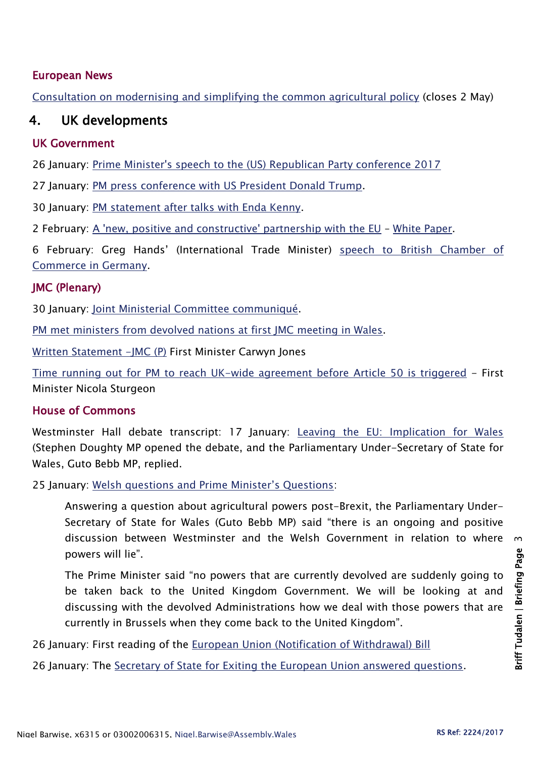#### European News

[Consultation on modernising and simplifying the common agricultural policy](https://ec.europa.eu/agriculture/consultations/cap-modernising/2017_en) (closes 2 May)

## 4. UK developments

#### UK Government

26 January: [Prime Minister's speech to the \(US\) Republican Party conference 2017](https://www.gov.uk/government/speeches/prime-ministers-speech-to-the-republican-party-conference-2017)

27 January: [PM press conference with US President Donald Trump.](https://www.gov.uk/government/speeches/pm-press-conference-with-us-president-donald-trump-27-january-2017)

30 January: [PM statement after talks with Enda Kenny.](https://www.gov.uk/government/speeches/pm-statement-after-talks-with-taoiseach-enda-kenny-30-january-2017)

2 February: [A 'new, positive and constructive' partnership with the EU](https://www.gov.uk/government/news/a-new-positive-and-constructive-partnership-with-the-european-union) – [White Paper.](https://www.gov.uk/government/uploads/system/uploads/attachment_data/file/589191/The_United_Kingdoms_exit_from_and_partnership_with_the_EU_Web.pdf)

6 February: Greg Hands' (International Trade Minister) [speech to British Chamber of](https://www.gov.uk/government/speeches/greg-hands-speech-to-british-chamber-of-commerce-in-germany)  [Commerce in Germany.](https://www.gov.uk/government/speeches/greg-hands-speech-to-british-chamber-of-commerce-in-germany)

#### JMC (Plenary)

30 January: [Joint Ministerial Committee communiqué.](https://www.gov.uk/government/uploads/system/uploads/attachment_data/file/587462/joint_communique_30_jan_2017.pdf)

[PM met ministers from devolved nations at first JMC meeting in Wales.](https://www.gov.uk/government/news/pm-to-meet-ministers-from-devolved-nations-at-first-jmc-meeting-in-wales)

[Written Statement -JMC \(P\)](http://gov.wales/about/cabinet/cabinetstatements/2017/jmc/?lang=en) First Minister Carwyn Jones

[Time running out for PM to reach UK-wide agreement before Article 50 is triggered](http://news.gov.scot/news/joint-ministerial-committee) - First Minister Nicola Sturgeon

#### House of Commons

Westminster Hall debate transcript: 17 January: [Leaving the EU: Implication for Wales](https://hansard.parliament.uk/commons/2017-01-17/debates/1F12E616-8823-4369-8885-4B8D8B381D5F/LeavingTheEUInfrastructureInWales) (Stephen Doughty MP opened the debate, and the Parliamentary Under-Secretary of State for Wales, Guto Bebb MP, replied.

25 January: [Welsh questions and Prime Minister's Questions](https://hansard.parliament.uk/commons/2017-01-25/debates/BFF963EC-E924-40CF-A22C-9B7DBCB7CE97/OralAnswersToQuestions):

Answering a question about agricultural powers post-Brexit, the Parliamentary Under-Secretary of State for Wales (Guto Bebb MP) said "there is an ongoing and positive discussion between Westminster and the Welsh Government in relation to where powers will lie".

The Prime Minister said "no powers that are currently devolved are suddenly going to be taken back to the United Kingdom Government. We will be looking at and discussing with the devolved Administrations how we deal with those powers that are currently in Brussels when they come back to the United Kingdom".

26 January: First reading of the [European Union \(Notification of Withdrawal\) Bill](http://services.parliament.uk/bills/2016-17/europeanunionnotificationofwithdrawal.html)

26 January: The [Secretary of State for Exiting the European Union answered questions.](https://hansard.parliament.uk/commons/2017-01-26)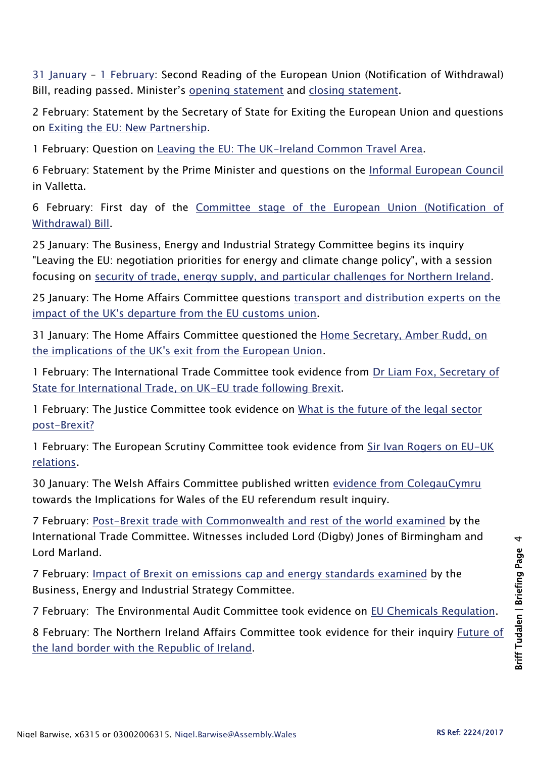[31 January](https://hansard.parliament.uk/commons/2017-01-31/debates/C2852E15-21D3-4F03-B8C3-F7E05F2276B0/EuropeanUnion(NotificationOfWithdrawal)Bill) – [1 February:](https://hansard.parliament.uk/commons/2017-02-01/debates/5B0251FC-94E6-4216-8830-4F85E0EC2250/EuropeanUnion(NotificationOfWithdrawal)Bill) Second Reading of the European Union (Notification of Withdrawal) Bill, reading passed. Minister's [opening statement](file:///C:/Users/seatonn/AppData/Local/Microsoft/Windows/Temporary%20Internet%20Files/Content.Outlook/TMRSHX41/Opening%20statement%20on%20Second%20Reading%20of%20EU%20(Notification%20of%20Withdrawal)%20Bill) and [closing statement.](https://www.gov.uk/government/speeches/closing-statement-on-second-reading-of-eu-notification-of-withdrawal-bill)

2 February: Statement by the Secretary of State for Exiting the European Union and questions on [Exiting the EU: New Partnership.](https://hansard.parliament.uk/commons/2017-02-02/debates/208B4D90-F003-4990-9F42-411631DC04BF/ExitingTheEUNewPartnership)

1 February: Question on [Leaving the EU: The UK-Ireland Common Travel Area.](https://hansard.parliament.uk/commons/2017-02-01/debates/B386ED22-D91D-4FF8-9804-F87EEBC26D6A/LeavingTheEUCommonTravelArea)

6 February: Statement by the Prime Minister and questions on the [Informal European Council](https://hansard.parliament.uk/commons/2017-02-06/debates/3321CE93-B49F-426D-897E-6105183667E3/InformalEuropeanCouncil) in Valletta.

6 February: First day of the [Committee stage of the European Union \(Notification of](https://hansard.parliament.uk/commons/2017-02-06/debates/095B1CCD-B543-44BF-A78B-8DBBA95E8EEC/EuropeanUnion(NotificationOfWithdrawal)Bill)  [Withdrawal\) Bill.](https://hansard.parliament.uk/commons/2017-02-06/debates/095B1CCD-B543-44BF-A78B-8DBBA95E8EEC/EuropeanUnion(NotificationOfWithdrawal)Bill)

25 January: The Business, Energy and Industrial Strategy Committee begins its inquiry "Leaving the EU: negotiation priorities for energy and climate change policy", with a session focusing on [security of trade, energy supply, and particular challenges for Northern Ireland.](http://www.parliament.uk/business/committees/committees-a-z/commons-select/business-energy-industrial-strategy/news-parliament-2015/brexit-energy-climate-change-inquiry-first-evidence-16-17/)

25 January: The Home Affairs Committee questions [transport and distribution experts on the](http://www.parliament.uk/business/committees/committees-a-z/commons-select/home-affairs-committee/news-parliament-2015/170119-brexit-ev/)  [impact of the UK's departure from the EU customs union.](http://www.parliament.uk/business/committees/committees-a-z/commons-select/home-affairs-committee/news-parliament-2015/170119-brexit-ev/)

31 January: The Home Affairs Committee questioned the Home Secretary, Amber Rudd, on [the implications of the UK's exit from the European Union.](http://www.parliament.uk/business/committees/committees-a-z/commons-select/home-affairs-committee/news-parliament-2015/170127-home-secretary-ev/)

1 February: The International Trade Committee took evidence from [Dr Liam Fox, Secretary of](http://www.parliament.uk/business/committees/committees-a-z/commons-select/international-trade-committee/news-parliament-2015/uk-trade-options-beyond-2019-sos-evidence-16-17/)  [State for International Trade, on UK-EU trade following Brexit.](http://www.parliament.uk/business/committees/committees-a-z/commons-select/international-trade-committee/news-parliament-2015/uk-trade-options-beyond-2019-sos-evidence-16-17/)

1 February: The Justice Committee took evidence on [What is the future of the legal sector](http://www.parliament.uk/business/committees/committees-a-z/commons-select/justice-committee/news-parliament-20151/implications-of-brexit-for-the-justice-system-legal-services-evidence-16-17/)  [post-Brexit?](http://www.parliament.uk/business/committees/committees-a-z/commons-select/justice-committee/news-parliament-20151/implications-of-brexit-for-the-justice-system-legal-services-evidence-16-17/)

1 February: The European Scrutiny Committee took evidence from Sir Ivan Rogers on EU-UK [relations.](http://data.parliament.uk/writtenevidence/committeeevidence.svc/evidencedocument/european-scrutiny-committee/euuk-relations-in-preparation-for-brexit/oral/46706.html)

30 January: The Welsh Affairs Committee published written [evidence from ColegauCymru](http://data.parliament.uk/writtenevidence/committeeevidence.svc/evidencedocument/welsh-affairs-committee/implications-for-wales-of-the-eu-referendum-result/written/45659.html) towards the Implications for Wales of the EU referendum result inquiry.

7 February: [Post-Brexit trade with Commonwealth and rest of the world examined](http://www.parliament.uk/business/committees/committees-a-z/commons-select/international-trade-committee/news-parliament-2015/uk-trade-options-beyond-jones-2019-16-17/) by the International Trade Committee. Witnesses included Lord (Digby) Jones of Birmingham and Lord Marland.

7 February: [Impact of Brexit on emissions cap and energy standards examined](http://www.parliament.uk/business/committees/committees-a-z/commons-select/business-energy-industrial-strategy/news-parliament-2015/leaving-the-eu-evidence-16-17/) by the Business, Energy and Industrial Strategy Committee.

7 February: The Environmental Audit Committee took evidence on [EU Chemicals Regulation.](http://www.parliament.uk/business/committees/committees-a-z/commons-select/environmental-audit-committee/)

8 February: The Northern Ireland Affairs Committee took evidence for their inquiry [Future of](http://www.parliament.uk/business/committees/committees-a-z/commons-select/northern-ireland-affairs-committee/inquiries/parliament-2015/inquiry3/)  [the land border with the Republic of Ireland.](http://www.parliament.uk/business/committees/committees-a-z/commons-select/northern-ireland-affairs-committee/inquiries/parliament-2015/inquiry3/)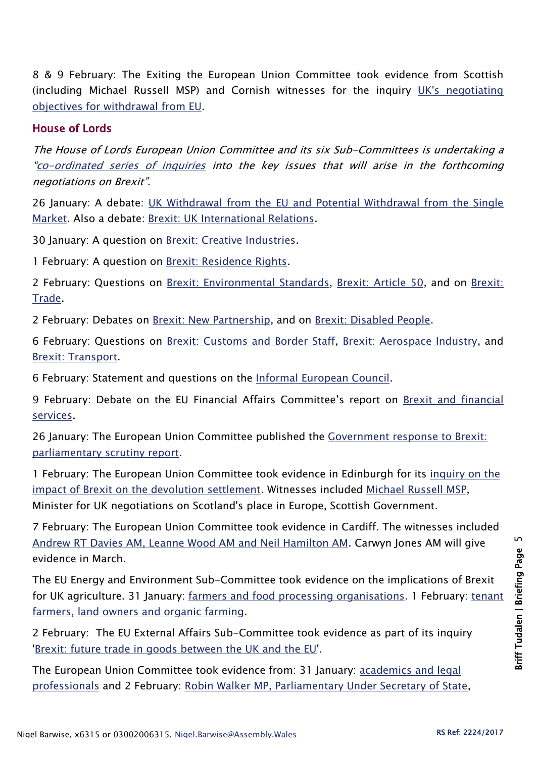8 & 9 February: The Exiting the European Union Committee took evidence from Scottish (including Michael Russell MSP) and Cornish witnesses for the inquiry [UK's negotiating](http://www.parliament.uk/business/committees/committees-a-z/commons-select/exiting-the-european-union-committee/inquiries/parliament-2015/negotiating-objectives-for-eu-withdrawal-16-17/)  [objectives for withdrawal from EU.](http://www.parliament.uk/business/committees/committees-a-z/commons-select/exiting-the-european-union-committee/inquiries/parliament-2015/negotiating-objectives-for-eu-withdrawal-16-17/)

#### House of Lords

The House of Lords European Union Committee and its six Sub-Committees is undertaking a "[co-ordinated series of inquiries](http://www.parliament.uk/business/committees/committees-a-z/lords-select/eu-select-committee-/news-parliament-2015/co-ordinated-inquries-launch/) into the key issues that will arise in the forthcoming negotiations on Brexit".

26 January: A debate: [UK Withdrawal from the EU and Potential Withdrawal from the Single](https://hansard.parliament.uk/Lords/2017-01-26/debates/59755AA8-ED1B-4215-B3AE-C334CCE167D0/UKWithdrawalFromTheEUAndPotentialWithdrawalFromTheSingleMarket)  [Market.](https://hansard.parliament.uk/Lords/2017-01-26/debates/59755AA8-ED1B-4215-B3AE-C334CCE167D0/UKWithdrawalFromTheEUAndPotentialWithdrawalFromTheSingleMarket) Also a debate: [Brexit: UK International Relations.](https://hansard.parliament.uk/Lords/2017-01-26/debates/73FD9FF8-E0E7-4960-A464-CB1FD351D605/BrexitUKInternationalRelations)

30 January: A question on [Brexit: Creative Industries.](https://hansard.parliament.uk/Lords/2017-01-30/debates/F69038FB-B866-4038-B2F5-AF744D2EF206/BrexitCreativeIndustries)

1 February: A question on [Brexit: Residence Rights.](https://hansard.parliament.uk/Lords/2017-02-01/debates/BD7A09B2-314F-420B-B965-E02D654F2B0F/BrexitResidenceRights)

2 February: Questions on [Brexit: Environmental Standards,](https://hansard.parliament.uk/Lords/2017-02-02/debates/68634EF4-BA44-43F7-ADD7-6E6360144AEA/BrexitEnvironmentalStandards) [Brexit: Article 50,](https://hansard.parliament.uk/Lords/2017-02-02/debates/BBC58159-77C1-4D65-AACA-58E4C80C1DA5/BrexitArticle50) and on [Brexit:](https://hansard.parliament.uk/Lords/2017-02-02/debates/EF252D42-87CB-4B45-87EA-9F6782994895/BrexitTrade)  [Trade.](https://hansard.parliament.uk/Lords/2017-02-02/debates/EF252D42-87CB-4B45-87EA-9F6782994895/BrexitTrade)

2 February: Debates on [Brexit: New Partnership,](https://hansard.parliament.uk/Lords/2017-02-02/debates/6EC6F840-3CF3-465E-896A-772D53179E8B/BrexitNewPartnership) and on [Brexit: Disabled People.](https://hansard.parliament.uk/Lords/2017-02-02/debates/BF5C6387-2D05-403D-A0E8-ABB6BA4E4DF6/BrexitDisabledPeople)

6 February: Questions on [Brexit: Customs and Border Staff,](https://hansard.parliament.uk/Lords/2017-02-06/debates/AD209CEE-BA36-4DF4-B2BA-7AFD29D63057/BrexitCustomsAndBorderStaff) [Brexit: Aerospace Industry,](https://hansard.parliament.uk/Lords/2017-02-06/debates/94677C38-3B48-4983-A355-E9F636FE5AAF/BrexitAerospaceIndustry) and [Brexit: Transport.](https://hansard.parliament.uk/Lords/2017-02-06/debates/751F3858-4F43-42AD-AF10-2F3CA2378DE2/BrexitTransport)

6 February: Statement and questions on the [Informal European Council.](https://hansard.parliament.uk/Lords/2017-02-06/debates/71EAC1E9-7F66-4FFE-893B-0589ED1BDE6A/InformalEuropeanCouncil)

9 February: Debate on the EU Financial Affairs Committee's report on [Brexit and financial](http://www.parliament.uk/business/committees/committees-a-z/lords-select/eu-financial-affairs-subcommittee/news-parliament-2015/financial-services-debate/)  [services.](http://www.parliament.uk/business/committees/committees-a-z/lords-select/eu-financial-affairs-subcommittee/news-parliament-2015/financial-services-debate/)

26 January: The European Union Committee published the Government response to Brexit: [parliamentary scrutiny report.](http://www.parliament.uk/business/committees/committees-a-z/lords-select/eu-select-committee-/news-parliament-2015/govt-response-parliamentary-scrutiny/)

1 February: The European Union Committee took evidence in Edinburgh for its [inquiry on](http://www.parliament.uk/business/committees/committees-a-z/lords-select/eu-select-committee-/news-parliament-2015/brexit-devolution-inquiry-launch/) the [impact of Brexit on the devolution settlement.](http://www.parliament.uk/business/committees/committees-a-z/lords-select/eu-select-committee-/news-parliament-2015/brexit-devolution-inquiry-launch/) Witnesses included [Michael Russell MSP,](http://www.parliament.uk/business/committees/committees-a-z/lords-select/eu-select-committee-/news-parliament-2015/edinburgh-visit-310117/) Minister for UK negotiations on Scotland's place in Europe, Scottish Government.

7 February: The European Union Committee took evidence in Cardiff. The witnesses included [Andrew RT Davies AM, Leanne Wood AM and Neil Hamilton AM.](http://www.parliament.uk/business/committees/committees-a-z/lords-select/eu-select-committee-/news-parliament-2015/cardiff-visit-070217/) Carwyn Jones AM will give evidence in March.

The EU Energy and Environment Sub-Committee took evidence on the implications of Brexit for UK agriculture. 31 January: [farmers and food processing organisations.](http://www.parliament.uk/business/committees/committees-a-z/lords-select/eu-energy-environment-subcommittee/news-parliament-2015/brexit-agri-supply-chain/) 1 February: tenant [farmers, land owners and organic farming.](http://www.parliament.uk/business/committees/committees-a-z/lords-select/eu-energy-environment-subcommittee/news-parliament-2015/brexit-agri-farmers/)

2 February: The EU External Affairs Sub-Committee took evidence as part of its inquiry ['Brexit: future trade in goods between the UK and the EU'](http://www.parliament.uk/business/committees/committees-a-z/lords-select/eu-external-affairs-subcommittee/news-parliament-2015/brexit-trade-ministers-evidence/).

The European Union Committee took evidence from: 31 January: [academics and legal](http://www.parliament.uk/business/committees/committees-a-z/lords-select/eu-select-committee-/news-parliament-2015/evidence-crown-dependencies-310117/)  [professionals](http://www.parliament.uk/business/committees/committees-a-z/lords-select/eu-select-committee-/news-parliament-2015/evidence-crown-dependencies-310117/) and 2 February: [Robin Walker MP, Parliamentary Under Secretary of State,](http://www.parliament.uk/business/committees/committees-a-z/lords-select/eu-select-committee-/news-parliament-2015/minister-crown-dependencies-gibraltar-020217/)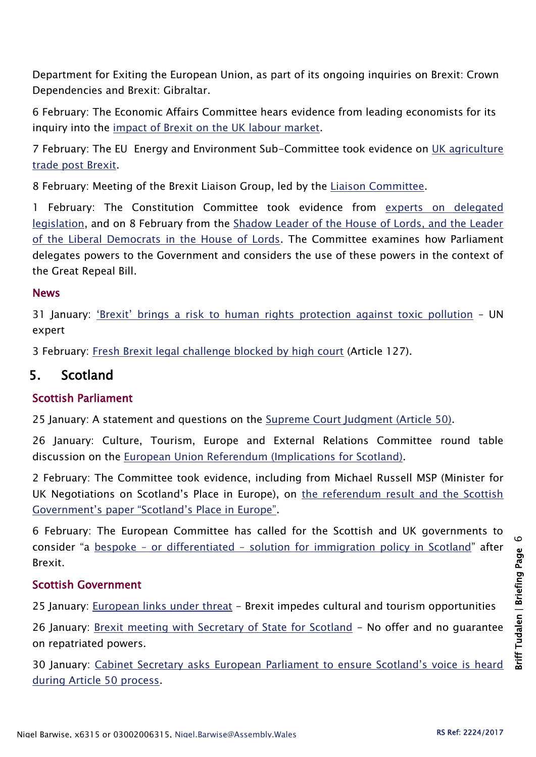Department for Exiting the European Union, as part of its ongoing inquiries on Brexit: Crown Dependencies and Brexit: Gibraltar.

6 February: The Economic Affairs Committee hears evidence from leading economists for its inquiry into the [impact of Brexit on the UK labour market.](http://www.parliament.uk/business/committees/committees-a-z/lords-select/economic-affairs-committee/news-parliament-2015/academics-brexit-evidence-session/)

7 February: The EU Energy and Environment Sub-Committee took evidence on [UK agriculture](http://www.parliament.uk/business/committees/committees-a-z/lords-select/eu-energy-environment-subcommittee/news-parliament-2015/brexit-agri-trade/)  [trade post Brexit.](http://www.parliament.uk/business/committees/committees-a-z/lords-select/eu-energy-environment-subcommittee/news-parliament-2015/brexit-agri-trade/)

8 February: Meeting of the Brexit Liaison Group, led by the [Liaison Committee.](http://www.parliament.uk/business/committees/committees-a-z/lords-select/liaison-committee/)

1 February: The Constitution Committee took evidence from [experts on delegated](http://www.parliament.uk/business/committees/committees-a-z/lords-select/constitution-committee/news-parliament-2015/academics-evidence/)  [legislation,](http://www.parliament.uk/business/committees/committees-a-z/lords-select/constitution-committee/news-parliament-2015/academics-evidence/) and on 8 February from the [Shadow Leader of the House of Lords, and the Leader](http://www.parliament.uk/business/committees/committees-a-z/lords-select/eu-select-committee-/news-parliament-2015/edinburgh-visit-310117/)  [of the Liberal Democrats in the House of Lords.](http://www.parliament.uk/business/committees/committees-a-z/lords-select/eu-select-committee-/news-parliament-2015/edinburgh-visit-310117/) The Committee examines how Parliament delegates powers to the Government and considers the use of these powers in the context of the Great Repeal Bill.

#### **News**

31 January: ['Brexit' brings a risk to human righ](http://www.ohchr.org/EN/NewsEvents/Pages/DisplayNews.aspx?NewsID=21132&LangID=E)ts protection against toxic pollution - UN expert

3 February: [Fresh Brexit legal challenge blocked by high court](https://www.theguardian.com/politics/2017/feb/03/fresh-brexit-legal-challenge-blocked-high-court-article-127?utm_source=esp&utm_medium=Email&utm_campaign=Brexit+briefing+2016&utm_term=212076&subid=19946367&CMP=ema-3239) (Article 127).

## 5. Scotland

#### Scottish Parliament

25 January: A statement and questions on the [Supreme Court Judgment \(Article 50\).](http://www.parliament.scot/parliamentarybusiness/report.aspx?r=10749&i=98616)

26 January: Culture, Tourism, Europe and External Relations Committee round table discussion on the European [Union Referendum \(Implications for Scotland\).](http://www.parliament.scot/parliamentarybusiness/report.aspx?r=10758&i=98680)

2 February: The Committee took evidence, including from Michael Russell MSP (Minister for UK Negotiations on Scotland's Place in Europe), on the referendum result and the Scottish [Government's paper "Scotland's Place in Europe"](http://www.parliament.scot/parliamentarybusiness/report.aspx?r=10772&i=98779).

6 February: The European Committee has called for the Scottish and UK governments to consider "a bespoke – or differentiated – [solution for immigration policy in Scotland](http://www.parliament.scot/newsandmediacentre/103392.aspx)" after Brexit.

#### Scottish Government

25 January: [European links under threat](http://news.gov.scot/news/european-links-under-threat) - Brexit impedes cultural and tourism opportunities

26 January: [Brexit meeting with Secretary of State for Scotland](http://news.gov.scot/news/brexit-meeting-with-secretary-of-state-for-scotland) - No offer and no guarantee on repatriated powers.

30 January: [Cabinet Secretary asks European Parliament to ensure Scotland's voice is heard](http://news.gov.scot/news/scotland-in-europe-1)  [during Article 50 process.](http://news.gov.scot/news/scotland-in-europe-1)